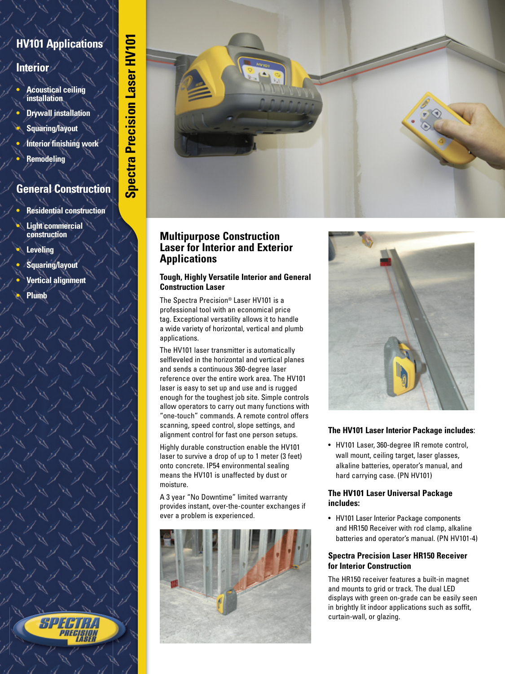# **HV101 Applications**

# **Interior**

- **• Acoustical ceiling installation**
- **Drywall installation**
- **Squaring/layout**
- **Interior finishing work**
- **Remodeling**

# **General Construction**

- **Residential construction**
- **Light commercial construction**
- **Leveling**
- **Squaring/layout**
- **Vertical alignment**
- **Plumb**



## **Multipurpose Construction Laser for Interior and Exterior Applications**

#### **Tough, Highly Versatile Interior and General Construction Laser**

The Spectra Precision® Laser HV101 is a professional tool with an economical price tag. Exceptional versatility allows it to handle a wide variety of horizontal, vertical and plumb applications.

The HV101 laser transmitter is automatically selfleveled in the horizontal and vertical planes and sends a continuous 360-degree laser reference over the entire work area. The HV101 laser is easy to set up and use and is rugged enough for the toughest job site. Simple controls allow operators to carry out many functions with "one-touch" commands. A remote control offers scanning, speed control, slope settings, and alignment control for fast one person setups.

Highly durable construction enable the HV101 laser to survive a drop of up to 1 meter (3 feet) onto concrete. IP54 environmental sealing means the HV101 is unaffected by dust or moisture.

A 3 year "No Downtime" limited warranty provides instant, over-the-counter exchanges if ever a problem is experienced.





## **The HV101 Laser Interior Package includes**:

• HV101 Laser, 360-degree IR remote control, wall mount, ceiling target, laser glasses, alkaline batteries, operator's manual, and hard carrying case. (PN HV101)

#### **The HV101 Laser Universal Package includes:**

• HV101 Laser Interior Package components and HR150 Receiver with rod clamp, alkaline batteries and operator's manual. (PN HV101-4)

### **Spectra Precision Laser HR150 Receiver for Interior Construction**

The HR150 receiver features a built-in magnet and mounts to grid or track. The dual LED displays with green on-grade can be easily seen in brightly lit indoor applications such as soffit, curtain-wall, or glazing.

94 J